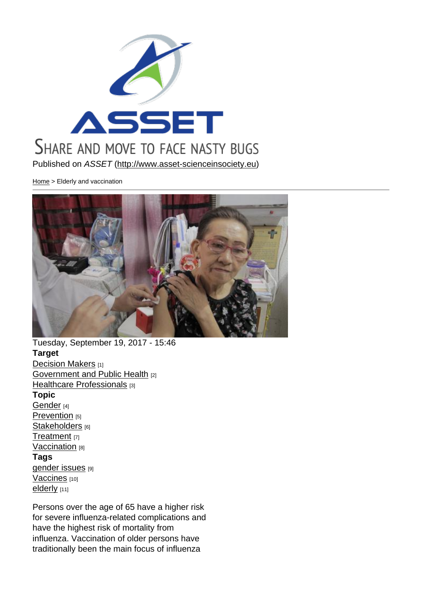### Published on ASSET (http://www.asset-scienceinsociety.eu)

Home > Elderly and vaccination

Tuesday, September 19, 2017 - 15:46 Target Decision Makers [1] Government and Public Health [2] Healthcare Professionals [3] [Topic](http://www.asset-scienceinsociety.eu/target/decision-makers)  [Gender](http://www.asset-scienceinsociety.eu/target/government-and-public-health)<sub>[4]</sub> [Prevention](http://www.asset-scienceinsociety.eu/target/healthcare-professionals) [5] Stakeholders [6] [Treatme](http://www.asset-scienceinsociety.eu/topic/gender)nt [7] [Vaccination](http://www.asset-scienceinsociety.eu/topic/prevention) [8] [Tags](http://www.asset-scienceinsociety.eu/topic/stakeholders)  [gender iss](http://www.asset-scienceinsociety.eu/topic/treatment)ues [9] [Vaccines](http://www.asset-scienceinsociety.eu/topic/vaccination) [10] elderly [11]

[Persons over t](http://www.asset-scienceinsociety.eu/tags/gender-issues)he age of 65 have a higher risk for severe influenza-related complications and [have th](http://www.asset-scienceinsociety.eu/tags/elderly)e highest risk of mortality from influenza. Vaccination of older persons have traditionally been the main focus of influenza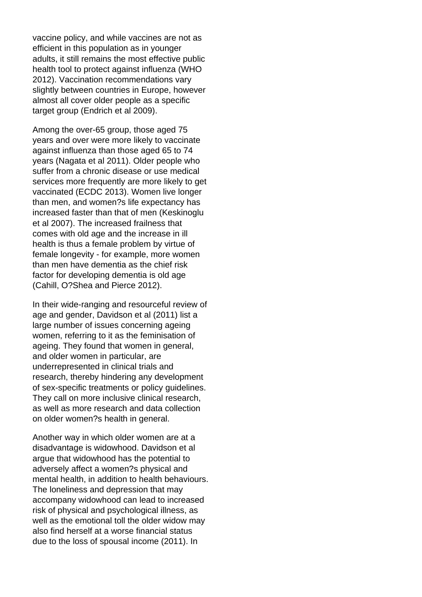vaccine policy, and while vaccines are not as efficient in this population as in younger adults, it still remains the most effective public health tool to protect against influenza (WHO 2012). Vaccination recommendations vary slightly between countries in Europe, however almost all cover older people as a specific target group (Endrich et al 2009).

Among the over-65 group, those aged 75 years and over were more likely to vaccinate against influenza than those aged 65 to 74 years (Nagata et al 2011). Older people who suffer from a chronic disease or use medical services more frequently are more likely to get vaccinated (ECDC 2013). Women live longer than men, and women?s life expectancy has increased faster than that of men (Keskinoglu et al 2007). The increased frailness that comes with old age and the increase in ill health is thus a female problem by virtue of female longevity - for example, more women than men have dementia as the chief risk factor for developing dementia is old age (Cahill, O?Shea and Pierce 2012).

In their wide-ranging and resourceful review of age and gender, Davidson et al (2011) list a large number of issues concerning ageing women, referring to it as the feminisation of ageing. They found that women in general, and older women in particular, are underrepresented in clinical trials and research, thereby hindering any development of sex-specific treatments or policy guidelines. They call on more inclusive clinical research, as well as more research and data collection on older women?s health in general.

Another way in which older women are at a disadvantage is widowhood. Davidson et al argue that widowhood has the potential to adversely affect a women?s physical and mental health, in addition to health behaviours. The loneliness and depression that may accompany widowhood can lead to increased risk of physical and psychological illness, as well as the emotional toll the older widow may also find herself at a worse financial status due to the loss of spousal income (2011). In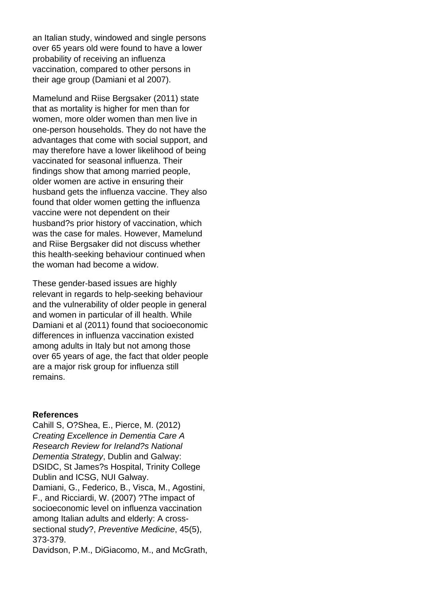an Italian study, windowed and single persons over 65 years old were found to have a lower probability of receiving an influenza vaccination, compared to other persons in their age group (Damiani et al 2007).

Mamelund and Riise Bergsaker (2011) state that as mortality is higher for men than for women, more older women than men live in one-person households. They do not have the advantages that come with social support, and may therefore have a lower likelihood of being vaccinated for seasonal influenza. Their findings show that among married people, older women are active in ensuring their husband gets the influenza vaccine. They also found that older women getting the influenza vaccine were not dependent on their husband?s prior history of vaccination, which was the case for males. However, Mamelund and Riise Bergsaker did not discuss whether this health-seeking behaviour continued when the woman had become a widow.

These gender-based issues are highly relevant in regards to help-seeking behaviour and the vulnerability of older people in general and women in particular of ill health. While Damiani et al (2011) found that socioeconomic differences in influenza vaccination existed among adults in Italy but not among those over 65 years of age, the fact that older people are a major risk group for influenza still remains.

#### **References**

Cahill S, O?Shea, E., Pierce, M. (2012) Creating Excellence in Dementia Care A Research Review for Ireland?s National Dementia Strategy, Dublin and Galway: DSIDC, St James?s Hospital, Trinity College Dublin and ICSG, NUI Galway. Damiani, G., Federico, B., Visca, M., Agostini, F., and Ricciardi, W. (2007) ?The impact of socioeconomic level on influenza vaccination among Italian adults and elderly: A crosssectional study?, Preventive Medicine, 45(5), 373-379.

Davidson, P.M., DiGiacomo, M., and McGrath,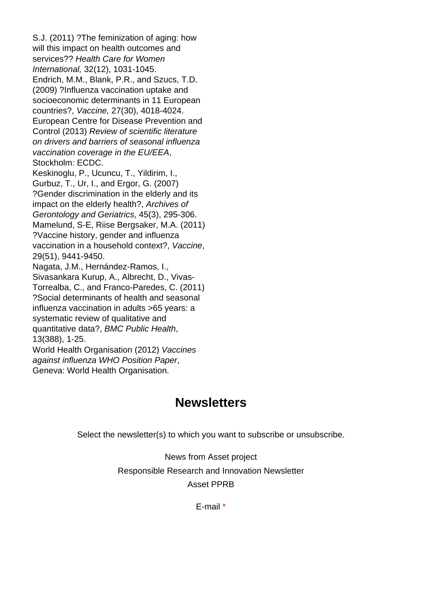S.J. (2011) ?The feminization of aging: how will this impact on health outcomes and services?? Health Care for Women International, 32(12), 1031-1045. Endrich, M.M., Blank, P.R., and Szucs, T.D. (2009) ?Influenza vaccination uptake and socioeconomic determinants in 11 European countries?, Vaccine, 27(30), 4018-4024. European Centre for Disease Prevention and Control (2013) Review of scientific literature on drivers and barriers of seasonal influenza vaccination coverage in the EU/EEA, Stockholm: ECDC. Keskinoglu, P., Ucuncu, T., Yildirim, I., Gurbuz, T., Ur, I., and Ergor, G. (2007) ?Gender discrimination in the elderly and its impact on the elderly health?, Archives of Gerontology and Geriatrics, 45(3), 295-306. Mamelund, S-E, Riise Bergsaker, M.A. (2011) ?Vaccine history, gender and influenza vaccination in a household context?, Vaccine, 29(51), 9441-9450. Nagata, J.M., Hernández-Ramos, I., Sivasankara Kurup, A., Albrecht, D., Vivas-Torrealba, C., and Franco-Paredes, C. (2011) ?Social determinants of health and seasonal influenza vaccination in adults >65 years: a systematic review of qualitative and quantitative data?, BMC Public Health, 13(388), 1-25. World Health Organisation (2012) Vaccines against influenza WHO Position Paper, Geneva: World Health Organisation.

## **Newsletters**

Select the newsletter(s) to which you want to subscribe or unsubscribe.

News from Asset project Responsible Research and Innovation Newsletter Asset PPRB

E-mail \*